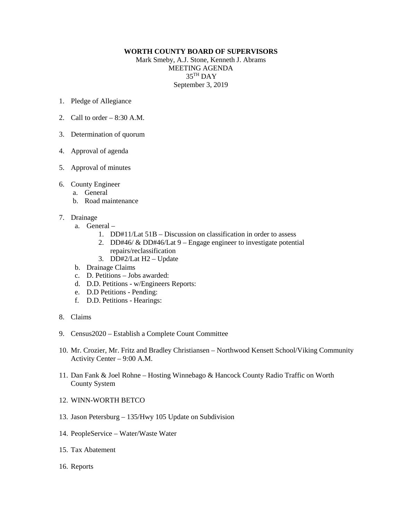## **WORTH COUNTY BOARD OF SUPERVISORS**

Mark Smeby, A.J. Stone, Kenneth J. Abrams MEETING AGENDA 35TH DAY September 3, 2019

- 1. Pledge of Allegiance
- 2. Call to order  $-8:30$  A.M.
- 3. Determination of quorum
- 4. Approval of agenda
- 5. Approval of minutes
- 6. County Engineer
	- a. General
	- b. Road maintenance
- 7. Drainage
	- a. General
		- 1. DD#11/Lat 51B Discussion on classification in order to assess
		- 2. DD#46/ & DD#46/Lat 9 Engage engineer to investigate potential repairs/reclassification
		- 3. DD#2/Lat H2 Update
	- b. Drainage Claims
	- c. D. Petitions Jobs awarded:
	- d. D.D. Petitions w/Engineers Reports:
	- e. D.D Petitions Pending:
	- f. D.D. Petitions Hearings:
- 8. Claims
- 9. Census2020 Establish a Complete Count Committee
- 10. Mr. Crozier, Mr. Fritz and Bradley Christiansen Northwood Kensett School/Viking Community Activity Center – 9:00 A.M.
- 11. Dan Fank & Joel Rohne Hosting Winnebago & Hancock County Radio Traffic on Worth County System
- 12. WINN-WORTH BETCO
- 13. Jason Petersburg 135/Hwy 105 Update on Subdivision
- 14. PeopleService Water/Waste Water
- 15. Tax Abatement
- 16. Reports